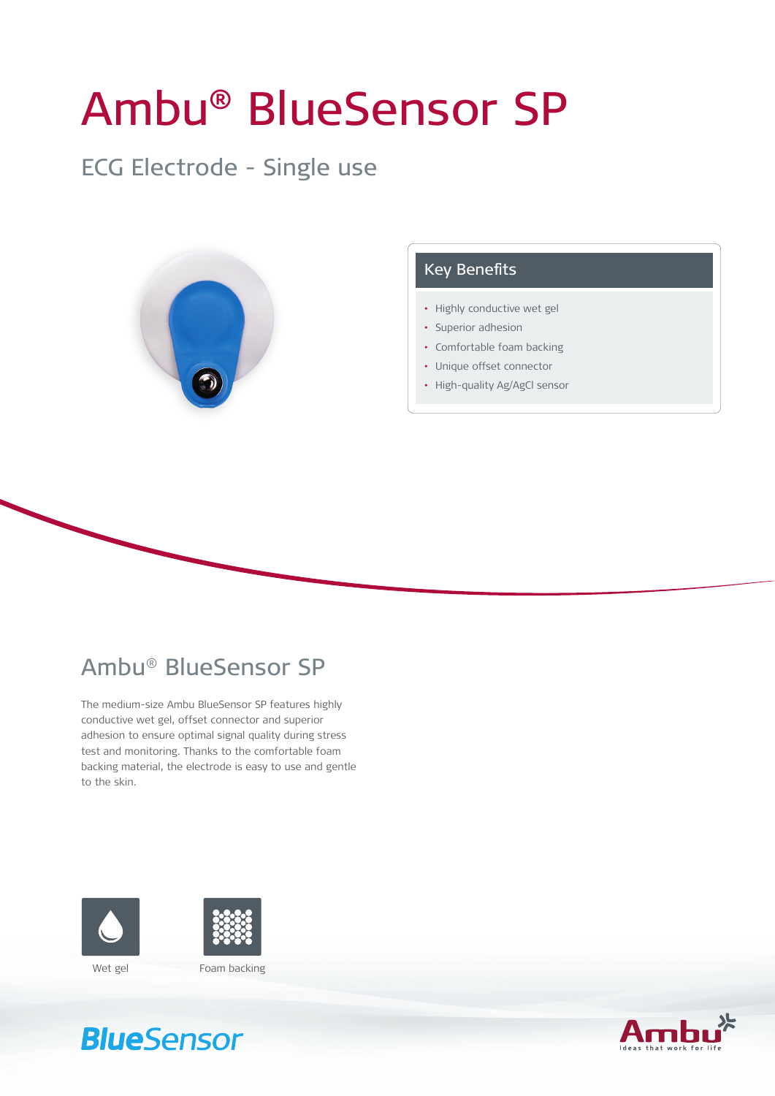# Ambu® BlueSensor SP

### ECG Electrode - Single use



### Key Benefits

- Highly conductive wet gel
- Superior adhesion
- • Comfortable foam backing
- • Unique offset connector
- High-quality Ag/AgCl sensor

### Ambu® BlueSensor SP

The medium-size Ambu BlueSensor SP features highly conductive wet gel, offset connector and superior adhesion to ensure optimal signal quality during stress test and monitoring. Thanks to the comfortable foam backing material, the electrode is easy to use and gentle to the skin.





## **BlueSensor**